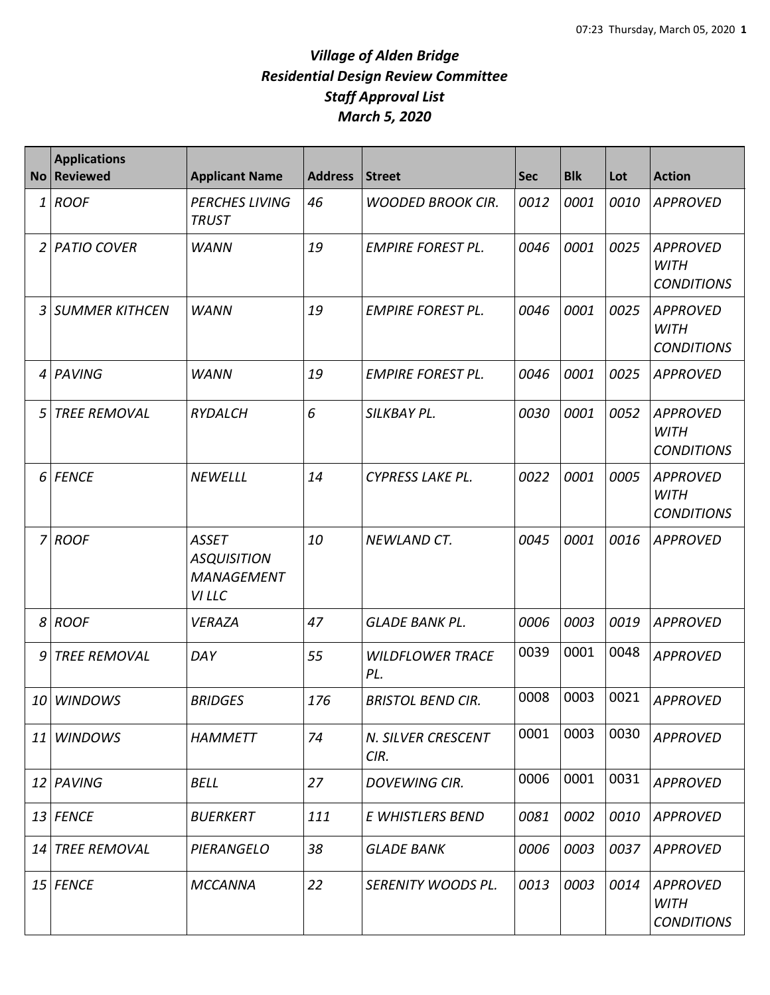| <b>No</b>      | <b>Applications</b><br><b>Reviewed</b> | <b>Applicant Name</b>                                             | <b>Address</b> | <b>Street</b>                  | <b>Sec</b> | <b>Blk</b> | Lot  | <b>Action</b>                                       |
|----------------|----------------------------------------|-------------------------------------------------------------------|----------------|--------------------------------|------------|------------|------|-----------------------------------------------------|
| 1              | <b>ROOF</b>                            | <b>PERCHES LIVING</b><br><b>TRUST</b>                             | 46             | <b>WOODED BROOK CIR.</b>       | 0012       | 0001       | 0010 | <b>APPROVED</b>                                     |
| 2              | <b>PATIO COVER</b>                     | <b>WANN</b>                                                       | 19             | <b>EMPIRE FOREST PL.</b>       | 0046       | 0001       | 0025 | <b>APPROVED</b><br><b>WITH</b><br><b>CONDITIONS</b> |
| 3              | <b>SUMMER KITHCEN</b>                  | <b>WANN</b>                                                       | 19             | <b>EMPIRE FOREST PL.</b>       | 0046       | 0001       | 0025 | <b>APPROVED</b><br><b>WITH</b><br><b>CONDITIONS</b> |
| 4              | PAVING                                 | <b>WANN</b>                                                       | 19             | <b>EMPIRE FOREST PL.</b>       | 0046       | 0001       | 0025 | <b>APPROVED</b>                                     |
| 5              | <b>TREE REMOVAL</b>                    | <b>RYDALCH</b>                                                    | 6              | SILKBAY PL.                    | 0030       | 0001       | 0052 | <b>APPROVED</b><br><b>WITH</b><br><b>CONDITIONS</b> |
| 6              | <b>FENCE</b>                           | <b>NEWELLL</b>                                                    | 14             | <b>CYPRESS LAKE PL.</b>        | 0022       | 0001       | 0005 | <b>APPROVED</b><br><b>WITH</b><br><b>CONDITIONS</b> |
| $\overline{7}$ | <b>ROOF</b>                            | <b>ASSET</b><br><b>ASQUISITION</b><br><b>MANAGEMENT</b><br>VI LLC | 10             | <b>NEWLAND CT.</b>             | 0045       | 0001       | 0016 | <b>APPROVED</b>                                     |
| 8              | <b>ROOF</b>                            | <b>VERAZA</b>                                                     | 47             | <b>GLADE BANK PL.</b>          | 0006       | 0003       | 0019 | <b>APPROVED</b>                                     |
| 9              | <b>TREE REMOVAL</b>                    | DAY                                                               | 55             | <b>WILDFLOWER TRACE</b><br>PL. | 0039       | 0001       | 0048 | <b>APPROVED</b>                                     |
| 10             | <b>WINDOWS</b>                         | <b>BRIDGES</b>                                                    | 176            | <b>BRISTOL BEND CIR.</b>       | 0008       | 0003       | 0021 | <b>APPROVED</b>                                     |
| 11             | <b>WINDOWS</b>                         | <b>HAMMETT</b>                                                    | 74             | N. SILVER CRESCENT<br>CIR.     | 0001       | 0003       | 0030 | <b>APPROVED</b>                                     |
|                | 12 PAVING                              | BELL                                                              | 27             | <b>DOVEWING CIR.</b>           | 0006       | 0001       | 0031 | <b>APPROVED</b>                                     |
|                | 13 FENCE                               | <b>BUERKERT</b>                                                   | 111            | E WHISTLERS BEND               | 0081       | 0002       | 0010 | <b>APPROVED</b>                                     |
|                | 14 TREE REMOVAL                        | PIERANGELO                                                        | 38             | <b>GLADE BANK</b>              | 0006       | 0003       | 0037 | APPROVED                                            |
|                | 15 FENCE                               | <b>MCCANNA</b>                                                    | 22             | SERENITY WOODS PL.             | 0013       | 0003       | 0014 | APPROVED<br><b>WITH</b><br><b>CONDITIONS</b>        |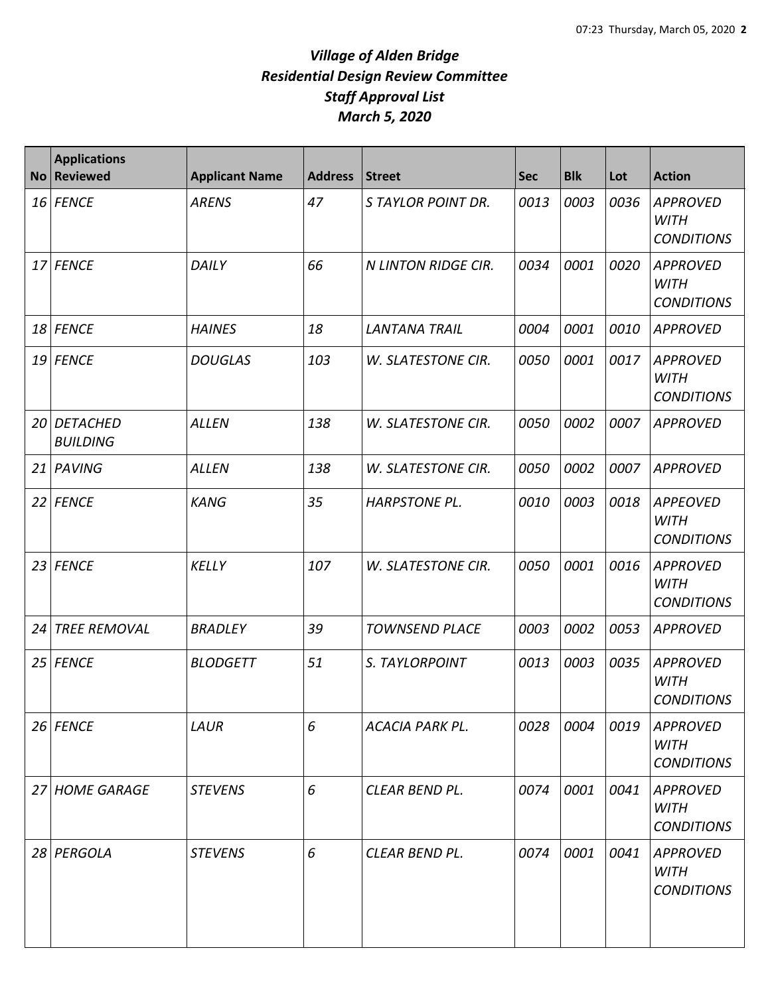| <b>No</b> | <b>Applications</b><br><b>Reviewed</b> | <b>Applicant Name</b> | <b>Address</b> | <b>Street</b>              | <b>Sec</b> | <b>Blk</b> | Lot  | <b>Action</b>                                       |
|-----------|----------------------------------------|-----------------------|----------------|----------------------------|------------|------------|------|-----------------------------------------------------|
|           | 16 FENCE                               | <b>ARENS</b>          | 47             | S TAYLOR POINT DR.         | 0013       | 0003       | 0036 | <b>APPROVED</b><br><b>WITH</b><br><b>CONDITIONS</b> |
|           | 17 FENCE                               | DAILY                 | 66             | <b>N LINTON RIDGE CIR.</b> | 0034       | 0001       | 0020 | <b>APPROVED</b><br><b>WITH</b><br><b>CONDITIONS</b> |
|           | 18 FENCE                               | <b>HAINES</b>         | 18             | <b>LANTANA TRAIL</b>       | 0004       | 0001       | 0010 | <b>APPROVED</b>                                     |
|           | 19 FENCE                               | <b>DOUGLAS</b>        | 103            | W. SLATESTONE CIR.         | 0050       | 0001       | 0017 | <b>APPROVED</b><br><b>WITH</b><br><b>CONDITIONS</b> |
|           | 20 DETACHED<br><b>BUILDING</b>         | <b>ALLEN</b>          | 138            | W. SLATESTONE CIR.         | 0050       | 0002       | 0007 | <b>APPROVED</b>                                     |
| 21        | PAVING                                 | <b>ALLEN</b>          | 138            | W. SLATESTONE CIR.         | 0050       | 0002       | 0007 | <b>APPROVED</b>                                     |
|           | 22 FENCE                               | <b>KANG</b>           | 35             | <b>HARPSTONE PL.</b>       | 0010       | 0003       | 0018 | <b>APPEOVED</b><br><b>WITH</b><br><b>CONDITIONS</b> |
| 23        | <b>FENCE</b>                           | <b>KELLY</b>          | 107            | W. SLATESTONE CIR.         | 0050       | 0001       | 0016 | <b>APPROVED</b><br><b>WITH</b><br><b>CONDITIONS</b> |
| 24        | <b>TREE REMOVAL</b>                    | <b>BRADLEY</b>        | 39             | <b>TOWNSEND PLACE</b>      | 0003       | 0002       | 0053 | <b>APPROVED</b>                                     |
|           | 25 FENCE                               | <b>BLODGETT</b>       | 51             | S. TAYLORPOINT             | 0013       | 0003       | 0035 | <b>APPROVED</b><br><b>WITH</b><br><b>CONDITIONS</b> |
|           | 26 FENCE                               | LAUR                  | 6              | <b>ACACIA PARK PL.</b>     | 0028       | 0004       | 0019 | <b>APPROVED</b><br><b>WITH</b><br><b>CONDITIONS</b> |
|           | 27 HOME GARAGE                         | <b>STEVENS</b>        | 6              | CLEAR BEND PL.             | 0074       | 0001       | 0041 | <b>APPROVED</b><br><b>WITH</b><br><b>CONDITIONS</b> |
|           | 28 PERGOLA                             | <b>STEVENS</b>        | 6              | CLEAR BEND PL.             | 0074       | 0001       | 0041 | <b>APPROVED</b><br><b>WITH</b><br><b>CONDITIONS</b> |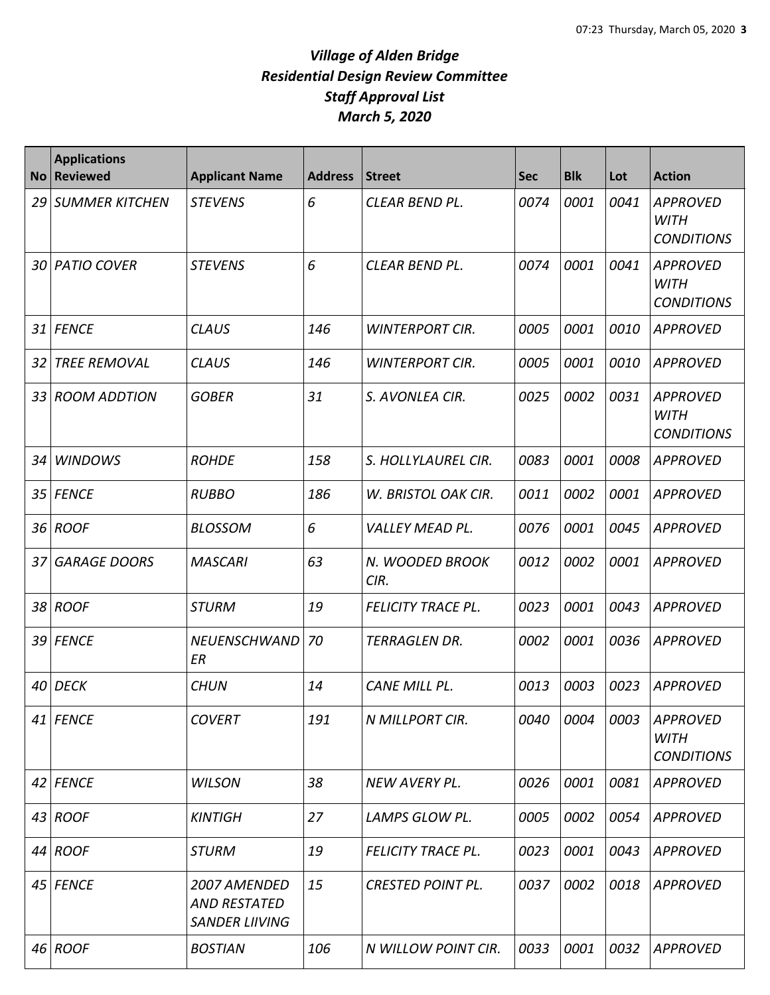| <b>No</b> | <b>Applications</b><br><b>Reviewed</b> | <b>Applicant Name</b>                                        | <b>Address</b> | Street                    | <b>Sec</b> | <b>Blk</b> | Lot  | <b>Action</b>                                       |
|-----------|----------------------------------------|--------------------------------------------------------------|----------------|---------------------------|------------|------------|------|-----------------------------------------------------|
| 29        | <b>SUMMER KITCHEN</b>                  | <b>STEVENS</b>                                               | 6              | CLEAR BEND PL.            | 0074       | 0001       | 0041 | <b>APPROVED</b><br><b>WITH</b><br><b>CONDITIONS</b> |
| 30        | <b>PATIO COVER</b>                     | <b>STEVENS</b>                                               | 6              | CLEAR BEND PL.            | 0074       | 0001       | 0041 | <b>APPROVED</b><br><b>WITH</b><br><b>CONDITIONS</b> |
| 31        | <b>FENCE</b>                           | <b>CLAUS</b>                                                 | 146            | <b>WINTERPORT CIR.</b>    | 0005       | 0001       | 0010 | <b>APPROVED</b>                                     |
| 32        | <b>TREE REMOVAL</b>                    | <b>CLAUS</b>                                                 | 146            | <b>WINTERPORT CIR.</b>    | 0005       | 0001       | 0010 | <b>APPROVED</b>                                     |
| 33        | <b>ROOM ADDTION</b>                    | <b>GOBER</b>                                                 | 31             | S. AVONLEA CIR.           | 0025       | 0002       | 0031 | <b>APPROVED</b><br><b>WITH</b><br><b>CONDITIONS</b> |
| 34        | <b>WINDOWS</b>                         | <b>ROHDE</b>                                                 | 158            | S. HOLLYLAUREL CIR.       | 0083       | 0001       | 0008 | <b>APPROVED</b>                                     |
| 35        | <b>FENCE</b>                           | <b>RUBBO</b>                                                 | 186            | W. BRISTOL OAK CIR.       | 0011       | 0002       | 0001 | <b>APPROVED</b>                                     |
| 36        | <b>ROOF</b>                            | <b>BLOSSOM</b>                                               | 6              | <b>VALLEY MEAD PL.</b>    | 0076       | 0001       | 0045 | <b>APPROVED</b>                                     |
| 37        | <b>GARAGE DOORS</b>                    | <b>MASCARI</b>                                               | 63             | N. WOODED BROOK<br>CIR.   | 0012       | 0002       | 0001 | <b>APPROVED</b>                                     |
| 38        | <b>ROOF</b>                            | <b>STURM</b>                                                 | 19             | <b>FELICITY TRACE PL.</b> | 0023       | 0001       | 0043 | <b>APPROVED</b>                                     |
| 39        | <b>FENCE</b>                           | <b>NEUENSCHWAND</b><br>ER                                    | 70             | <b>TERRAGLEN DR.</b>      | 0002       | 0001       | 0036 | <b>APPROVED</b>                                     |
| 40        | <b>DECK</b>                            | <b>CHUN</b>                                                  | 14             | CANE MILL PL.             | 0013       | 0003       | 0023 | <b>APPROVED</b>                                     |
|           | 41 FENCE                               | <b>COVERT</b>                                                | 191            | N MILLPORT CIR.           | 0040       | 0004       | 0003 | <b>APPROVED</b><br><b>WITH</b><br><b>CONDITIONS</b> |
|           | 42 FENCE                               | <b>WILSON</b>                                                | 38             | NEW AVERY PL.             | 0026       | 0001       | 0081 | <b>APPROVED</b>                                     |
|           | 43 ROOF                                | <b>KINTIGH</b>                                               | 27             | LAMPS GLOW PL.            | 0005       | 0002       | 0054 | <b>APPROVED</b>                                     |
|           | 44 ROOF                                | <b>STURM</b>                                                 | 19             | <b>FELICITY TRACE PL.</b> | 0023       | 0001       | 0043 | <b>APPROVED</b>                                     |
|           | 45 FENCE                               | 2007 AMENDED<br><b>AND RESTATED</b><br><b>SANDER LIIVING</b> | 15             | <b>CRESTED POINT PL.</b>  | 0037       | 0002       | 0018 | APPROVED                                            |
|           | 46 ROOF                                | <b>BOSTIAN</b>                                               | 106            | N WILLOW POINT CIR.       | 0033       | 0001       | 0032 | <b>APPROVED</b>                                     |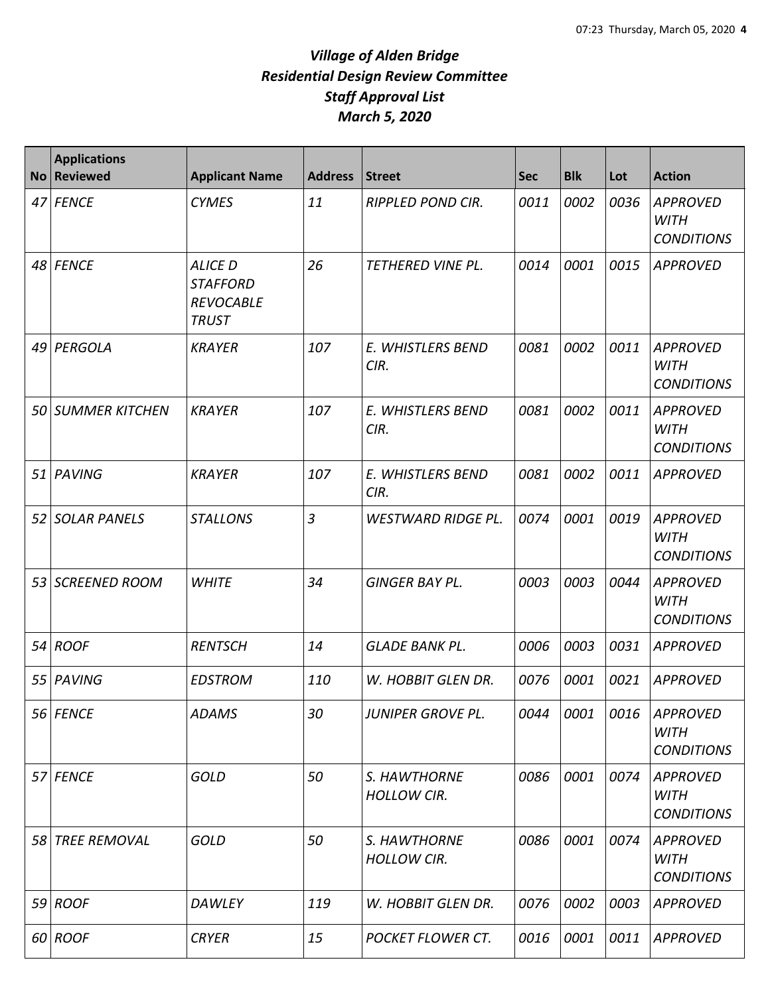| <b>No</b> | <b>Applications</b><br>Reviewed | <b>Applicant Name</b>                                                 | <b>Address</b> | Street                             | <b>Sec</b> | <b>Blk</b> | Lot  | <b>Action</b>                                       |
|-----------|---------------------------------|-----------------------------------------------------------------------|----------------|------------------------------------|------------|------------|------|-----------------------------------------------------|
|           | 47 FENCE                        | <b>CYMES</b>                                                          | 11             | <b>RIPPLED POND CIR.</b>           | 0011       | 0002       | 0036 | <b>APPROVED</b><br><b>WITH</b><br><b>CONDITIONS</b> |
|           | 48 FENCE                        | <b>ALICE D</b><br><b>STAFFORD</b><br><b>REVOCABLE</b><br><b>TRUST</b> | 26             | TETHERED VINE PL.                  | 0014       | 0001       | 0015 | APPROVED                                            |
| 49        | PERGOLA                         | <b>KRAYER</b>                                                         | 107            | E. WHISTLERS BEND<br>CIR.          | 0081       | 0002       | 0011 | <b>APPROVED</b><br><b>WITH</b><br><b>CONDITIONS</b> |
| 50        | <b>SUMMER KITCHEN</b>           | <b>KRAYER</b>                                                         | 107            | E. WHISTLERS BEND<br>CIR.          | 0081       | 0002       | 0011 | <b>APPROVED</b><br><b>WITH</b><br><b>CONDITIONS</b> |
| 51        | PAVING                          | <b>KRAYER</b>                                                         | 107            | E. WHISTLERS BEND<br>CIR.          | 0081       | 0002       | 0011 | <b>APPROVED</b>                                     |
| 52        | <b>SOLAR PANELS</b>             | <b>STALLONS</b>                                                       | $\overline{3}$ | <b>WESTWARD RIDGE PL.</b>          | 0074       | 0001       | 0019 | <b>APPROVED</b><br><b>WITH</b><br><b>CONDITIONS</b> |
| 53        | <b>SCREENED ROOM</b>            | <b>WHITE</b>                                                          | 34             | <b>GINGER BAY PL.</b>              | 0003       | 0003       | 0044 | <b>APPROVED</b><br><b>WITH</b><br><b>CONDITIONS</b> |
|           | 54 ROOF                         | <b>RENTSCH</b>                                                        | 14             | <b>GLADE BANK PL.</b>              | 0006       | 0003       | 0031 | <b>APPROVED</b>                                     |
| 55        | PAVING                          | <b>EDSTROM</b>                                                        | 110            | W. HOBBIT GLEN DR.                 | 0076       | 0001       | 0021 | <b>APPROVED</b>                                     |
|           | 56 FENCE                        | <b>ADAMS</b>                                                          | 30             | JUNIPER GROVE PL.                  |            | 0044 0001  |      | 0016 APPROVED<br><b>WITH</b><br><b>CONDITIONS</b>   |
| 57        | <b>FENCE</b>                    | <b>GOLD</b>                                                           | 50             | S. HAWTHORNE<br><b>HOLLOW CIR.</b> | 0086       | 0001       | 0074 | <b>APPROVED</b><br><b>WITH</b><br><b>CONDITIONS</b> |
|           | 58 TREE REMOVAL                 | <b>GOLD</b>                                                           | 50             | S. HAWTHORNE<br><b>HOLLOW CIR.</b> | 0086       | 0001       | 0074 | <b>APPROVED</b><br><b>WITH</b><br><b>CONDITIONS</b> |
|           | 59 ROOF                         | <b>DAWLEY</b>                                                         | 119            | W. HOBBIT GLEN DR.                 | 0076       | 0002       | 0003 | <b>APPROVED</b>                                     |
|           | 60 ROOF                         | <b>CRYER</b>                                                          | 15             | <b>POCKET FLOWER CT.</b>           | 0016       | 0001       | 0011 | <b>APPROVED</b>                                     |